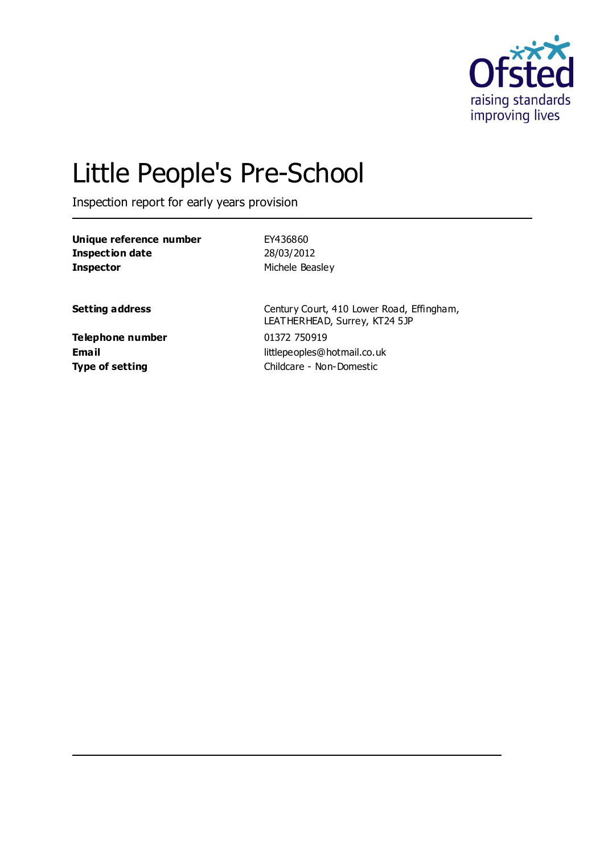

# Little People's Pre-School

Inspection report for early years provision

| Unique reference number | EY436860        |
|-------------------------|-----------------|
| Inspection date         | 28/03/2012      |
| <b>Inspector</b>        | Michele Beasley |

**Setting address** Century Court, 410 Lower Road, Effingham, LEATHERHEAD, Surrey, KT24 5JP **Email** littlepeoples@hotmail.co.uk **Type of setting** Childcare - Non-Domestic

**Telephone number** 01372 750919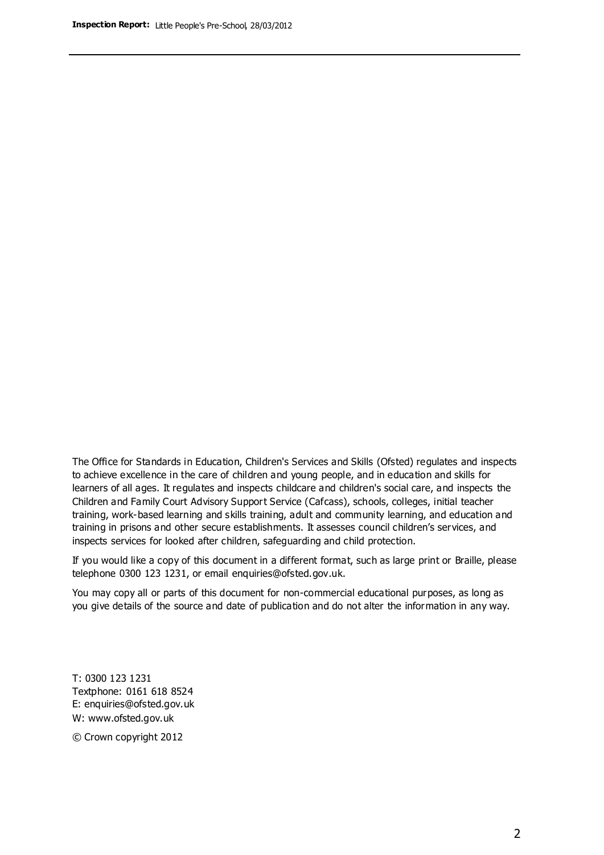The Office for Standards in Education, Children's Services and Skills (Ofsted) regulates and inspects to achieve excellence in the care of children and young people, and in education and skills for learners of all ages. It regulates and inspects childcare and children's social care, and inspects the Children and Family Court Advisory Support Service (Cafcass), schools, colleges, initial teacher training, work-based learning and skills training, adult and community learning, and education and training in prisons and other secure establishments. It assesses council children's services, and inspects services for looked after children, safeguarding and child protection.

If you would like a copy of this document in a different format, such as large print or Braille, please telephone 0300 123 1231, or email enquiries@ofsted.gov.uk.

You may copy all or parts of this document for non-commercial educational purposes, as long as you give details of the source and date of publication and do not alter the information in any way.

T: 0300 123 1231 Textphone: 0161 618 8524 E: enquiries@ofsted.gov.uk W: [www.ofsted.gov.uk](http://www.ofsted.gov.uk/)

© Crown copyright 2012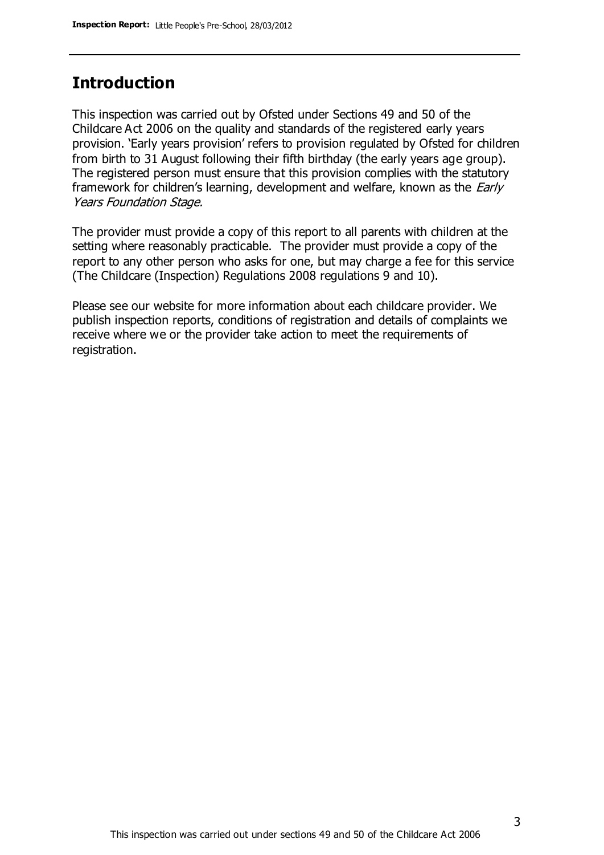### **Introduction**

This inspection was carried out by Ofsted under Sections 49 and 50 of the Childcare Act 2006 on the quality and standards of the registered early years provision. 'Early years provision' refers to provision regulated by Ofsted for children from birth to 31 August following their fifth birthday (the early years age group). The registered person must ensure that this provision complies with the statutory framework for children's learning, development and welfare, known as the *Early* Years Foundation Stage.

The provider must provide a copy of this report to all parents with children at the setting where reasonably practicable. The provider must provide a copy of the report to any other person who asks for one, but may charge a fee for this service (The Childcare (Inspection) Regulations 2008 regulations 9 and 10).

Please see our website for more information about each childcare provider. We publish inspection reports, conditions of registration and details of complaints we receive where we or the provider take action to meet the requirements of registration.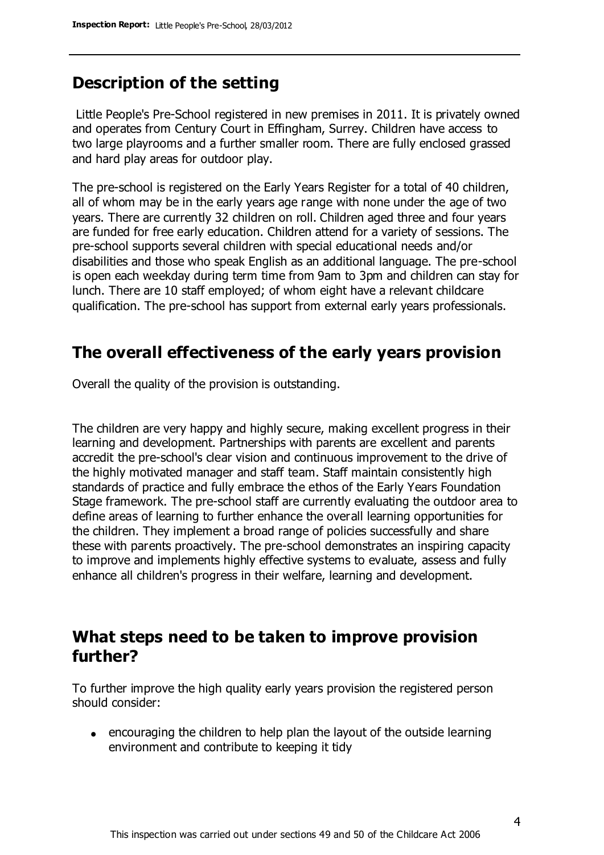### **Description of the setting**

Little People's Pre-School registered in new premises in 2011. It is privately owned and operates from Century Court in Effingham, Surrey. Children have access to two large playrooms and a further smaller room. There are fully enclosed grassed and hard play areas for outdoor play.

The pre-school is registered on the Early Years Register for a total of 40 children, all of whom may be in the early years age range with none under the age of two years. There are currently 32 children on roll. Children aged three and four years are funded for free early education. Children attend for a variety of sessions. The pre-school supports several children with special educational needs and/or disabilities and those who speak English as an additional language. The pre-school is open each weekday during term time from 9am to 3pm and children can stay for lunch. There are 10 staff employed; of whom eight have a relevant childcare qualification. The pre-school has support from external early years professionals.

## **The overall effectiveness of the early years provision**

Overall the quality of the provision is outstanding.

The children are very happy and highly secure, making excellent progress in their learning and development. Partnerships with parents are excellent and parents accredit the pre-school's clear vision and continuous improvement to the drive of the highly motivated manager and staff team. Staff maintain consistently high standards of practice and fully embrace the ethos of the Early Years Foundation Stage framework. The pre-school staff are currently evaluating the outdoor area to define areas of learning to further enhance the overall learning opportunities for the children. They implement a broad range of policies successfully and share these with parents proactively. The pre-school demonstrates an inspiring capacity to improve and implements highly effective systems to evaluate, assess and fully enhance all children's progress in their welfare, learning and development.

### **What steps need to be taken to improve provision further?**

To further improve the high quality early years provision the registered person should consider:

• encouraging the children to help plan the layout of the outside learning environment and contribute to keeping it tidy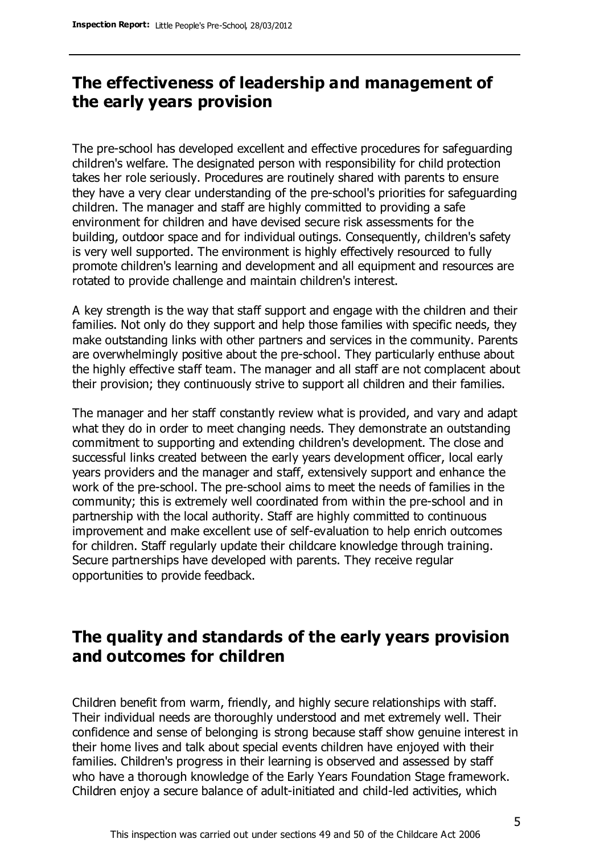# **The effectiveness of leadership and management of the early years provision**

The pre-school has developed excellent and effective procedures for safeguarding children's welfare. The designated person with responsibility for child protection takes her role seriously. Procedures are routinely shared with parents to ensure they have a very clear understanding of the pre-school's priorities for safeguarding children. The manager and staff are highly committed to providing a safe environment for children and have devised secure risk assessments for the building, outdoor space and for individual outings. Consequently, children's safety is very well supported. The environment is highly effectively resourced to fully promote children's learning and development and all equipment and resources are rotated to provide challenge and maintain children's interest.

A key strength is the way that staff support and engage with the children and their families. Not only do they support and help those families with specific needs, they make outstanding links with other partners and services in the community. Parents are overwhelmingly positive about the pre-school. They particularly enthuse about the highly effective staff team. The manager and all staff are not complacent about their provision; they continuously strive to support all children and their families.

The manager and her staff constantly review what is provided, and vary and adapt what they do in order to meet changing needs. They demonstrate an outstanding commitment to supporting and extending children's development. The close and successful links created between the early years development officer, local early years providers and the manager and staff, extensively support and enhance the work of the pre-school. The pre-school aims to meet the needs of families in the community; this is extremely well coordinated from within the pre-school and in partnership with the local authority. Staff are highly committed to continuous improvement and make excellent use of self-evaluation to help enrich outcomes for children. Staff regularly update their childcare knowledge through training. Secure partnerships have developed with parents. They receive regular opportunities to provide feedback.

# **The quality and standards of the early years provision and outcomes for children**

Children benefit from warm, friendly, and highly secure relationships with staff. Their individual needs are thoroughly understood and met extremely well. Their confidence and sense of belonging is strong because staff show genuine interest in their home lives and talk about special events children have enjoyed with their families. Children's progress in their learning is observed and assessed by staff who have a thorough knowledge of the Early Years Foundation Stage framework. Children enjoy a secure balance of adult-initiated and child-led activities, which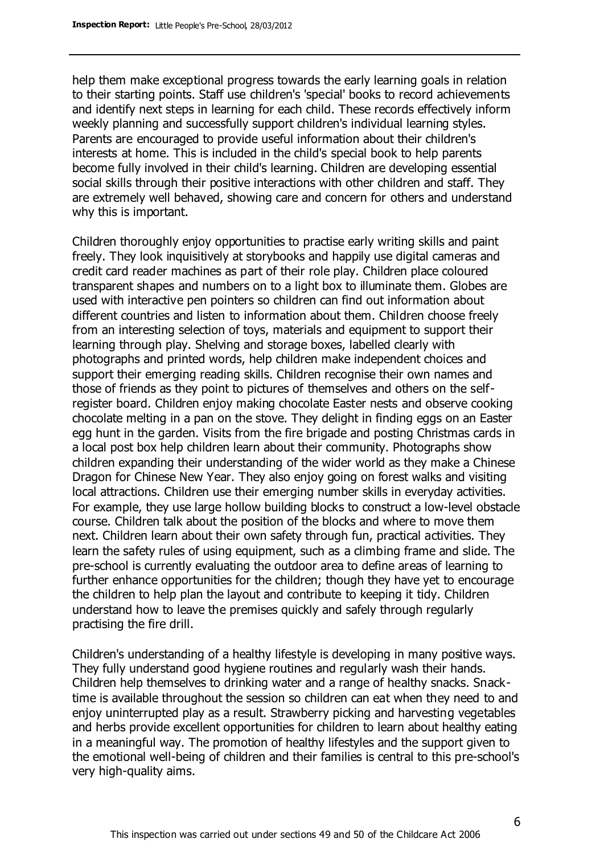help them make exceptional progress towards the early learning goals in relation to their starting points. Staff use children's 'special' books to record achievements and identify next steps in learning for each child. These records effectively inform weekly planning and successfully support children's individual learning styles. Parents are encouraged to provide useful information about their children's interests at home. This is included in the child's special book to help parents become fully involved in their child's learning. Children are developing essential social skills through their positive interactions with other children and staff. They are extremely well behaved, showing care and concern for others and understand why this is important.

Children thoroughly enjoy opportunities to practise early writing skills and paint freely. They look inquisitively at storybooks and happily use digital cameras and credit card reader machines as part of their role play. Children place coloured transparent shapes and numbers on to a light box to illuminate them. Globes are used with interactive pen pointers so children can find out information about different countries and listen to information about them. Children choose freely from an interesting selection of toys, materials and equipment to support their learning through play. Shelving and storage boxes, labelled clearly with photographs and printed words, help children make independent choices and support their emerging reading skills. Children recognise their own names and those of friends as they point to pictures of themselves and others on the selfregister board. Children enjoy making chocolate Easter nests and observe cooking chocolate melting in a pan on the stove. They delight in finding eggs on an Easter egg hunt in the garden. Visits from the fire brigade and posting Christmas cards in a local post box help children learn about their community. Photographs show children expanding their understanding of the wider world as they make a Chinese Dragon for Chinese New Year. They also enjoy going on forest walks and visiting local attractions. Children use their emerging number skills in everyday activities. For example, they use large hollow building blocks to construct a low-level obstacle course. Children talk about the position of the blocks and where to move them next. Children learn about their own safety through fun, practical activities. They learn the safety rules of using equipment, such as a climbing frame and slide. The pre-school is currently evaluating the outdoor area to define areas of learning to further enhance opportunities for the children; though they have yet to encourage the children to help plan the layout and contribute to keeping it tidy. Children understand how to leave the premises quickly and safely through regularly practising the fire drill.

Children's understanding of a healthy lifestyle is developing in many positive ways. They fully understand good hygiene routines and regularly wash their hands. Children help themselves to drinking water and a range of healthy snacks. Snacktime is available throughout the session so children can eat when they need to and enjoy uninterrupted play as a result. Strawberry picking and harvesting vegetables and herbs provide excellent opportunities for children to learn about healthy eating in a meaningful way. The promotion of healthy lifestyles and the support given to the emotional well-being of children and their families is central to this pre-school's very high-quality aims.